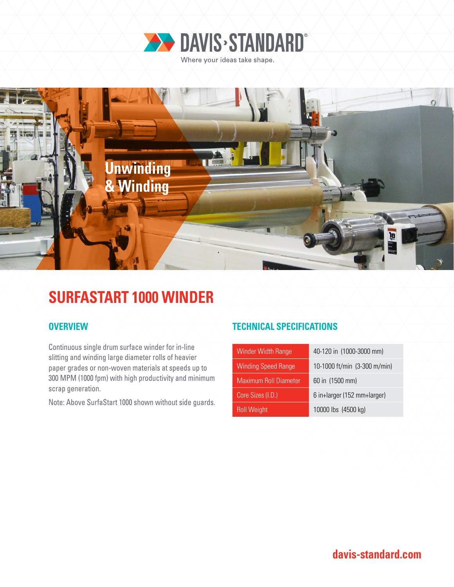



# **SURFASTART 1000 WINDER**

Continuous single drum surface winder for in-line slitting and winding large diameter rolls of heavier paper grades or non-woven materials at speeds up to 300 MPM (1000 fpm) with high productivity and minimum scrap generation.

Note: Above SurfaStart 1000 shown without side guards.

## **OVERVIEW TECHNICAL SPECIFICATIONS**

| Winder Width Range           | 40-120 in (1000-3000 mm)     |
|------------------------------|------------------------------|
| <b>Winding Speed Range</b>   | 10-1000 ft/min (3-300 m/min) |
| <b>Maximum Roll Diameter</b> | 60 in (1500 mm)              |
| Core Sizes (I.D.)            | 6 in+larger (152 mm+larger)  |
| <b>Roll Weight</b>           | 10000 lbs (4500 kg)          |